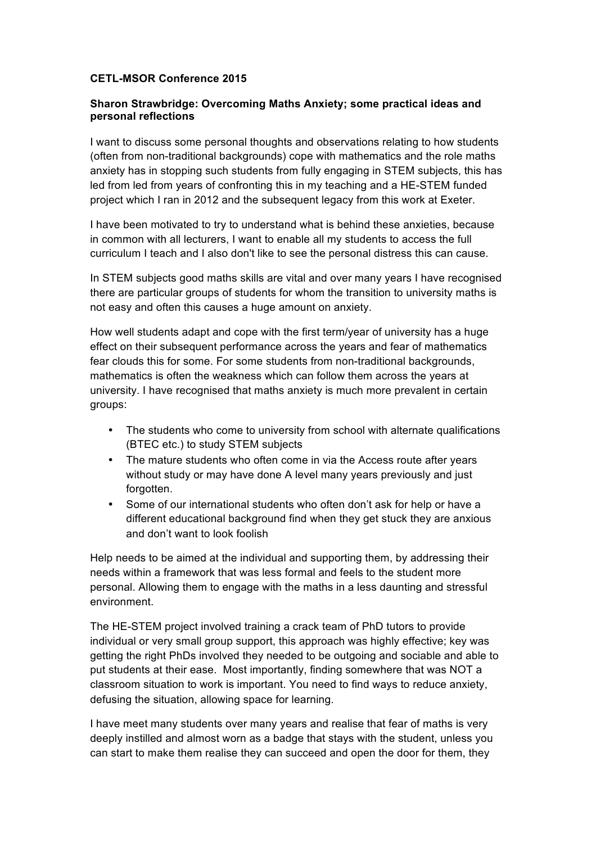## **CETL-MSOR Conference 2015**

## **Sharon Strawbridge: Overcoming Maths Anxiety; some practical ideas and personal reflections**

I want to discuss some personal thoughts and observations relating to how students (often from non-traditional backgrounds) cope with mathematics and the role maths anxiety has in stopping such students from fully engaging in STEM subjects, this has led from led from years of confronting this in my teaching and a HE-STEM funded project which I ran in 2012 and the subsequent legacy from this work at Exeter.

I have been motivated to try to understand what is behind these anxieties, because in common with all lecturers, I want to enable all my students to access the full curriculum I teach and I also don't like to see the personal distress this can cause.

In STEM subjects good maths skills are vital and over many years I have recognised there are particular groups of students for whom the transition to university maths is not easy and often this causes a huge amount on anxiety.

How well students adapt and cope with the first term/year of university has a huge effect on their subsequent performance across the years and fear of mathematics fear clouds this for some. For some students from non-traditional backgrounds, mathematics is often the weakness which can follow them across the years at university. I have recognised that maths anxiety is much more prevalent in certain groups:

- The students who come to university from school with alternate qualifications (BTEC etc.) to study STEM subjects
- The mature students who often come in via the Access route after years without study or may have done A level many years previously and just forgotten.
- Some of our international students who often don't ask for help or have a different educational background find when they get stuck they are anxious and don't want to look foolish

Help needs to be aimed at the individual and supporting them, by addressing their needs within a framework that was less formal and feels to the student more personal. Allowing them to engage with the maths in a less daunting and stressful environment.

The HE-STEM project involved training a crack team of PhD tutors to provide individual or very small group support, this approach was highly effective; key was getting the right PhDs involved they needed to be outgoing and sociable and able to put students at their ease. Most importantly, finding somewhere that was NOT a classroom situation to work is important. You need to find ways to reduce anxiety, defusing the situation, allowing space for learning.

I have meet many students over many years and realise that fear of maths is very deeply instilled and almost worn as a badge that stays with the student, unless you can start to make them realise they can succeed and open the door for them, they